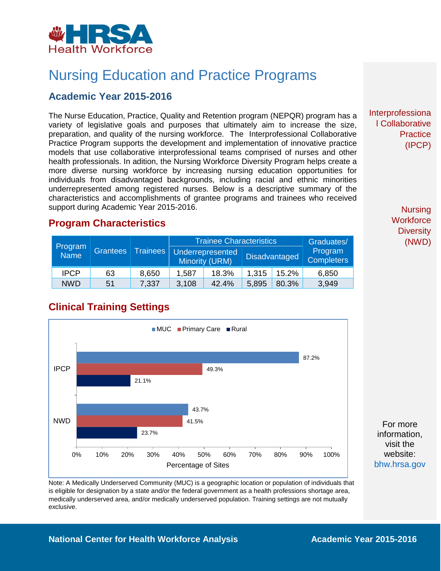

## Nursing Education and Practice Programs

#### **Academic Year 2015-2016**

The Nurse Education, Practice, Quality and Retention program (NEPQR) program has a variety of legislative goals and purposes that ultimately aim to increase the size, preparation, and quality of the nursing workforce. The Interprofessional Collaborative Practice Program supports the development and implementation of innovative practice models that use collaborative interprofessional teams comprised of nurses and other health professionals. In adition, the Nursing Workforce Diversity Program helps create a more diverse nursing workforce by increasing nursing education opportunities for individuals from disadvantaged backgrounds, including racial and ethnic minorities underrepresented among registered nurses. Below is a descriptive summary of the characteristics and accomplishments of grantee programs and trainees who received support during Academic Year 2015-2016.

#### **Program Characteristics**

|                        | <b>Grantees</b> | <b>Trainees</b> | Trainee Characteristics                                           |       |       |       | Graduates/<br>Program<br><b>Completers</b> |
|------------------------|-----------------|-----------------|-------------------------------------------------------------------|-------|-------|-------|--------------------------------------------|
| Program<br><b>Name</b> |                 |                 | <b>Underrepresented</b><br><b>Disadvantaged</b><br>Minority (URM) |       |       |       |                                            |
| <b>IPCP</b>            | 63              | 8,650           | 1,587                                                             | 18.3% | 1.315 | 15.2% | 6,850                                      |
| <b>NWD</b>             | 51              | 7,337           | 3,108                                                             | 42.4% | 5,895 | 80.3% | 3,949                                      |

#### **Clinical Training Settings**



Note: A Medically Underserved Community (MUC) is a geographic location or population of individuals that is eligible for designation by a state and/or the federal government as a health professions shortage area, medically underserved area, and/or medically underserved population. Training settings are not mutually exclusive.

Interprofessiona l Collaborative **Practice** (IPCP)

> **Nursing Workforce Diversity** (NWD)

For more information, visit the website: [bhw.hrsa.gov](http://bhw.hrsa.gov/)